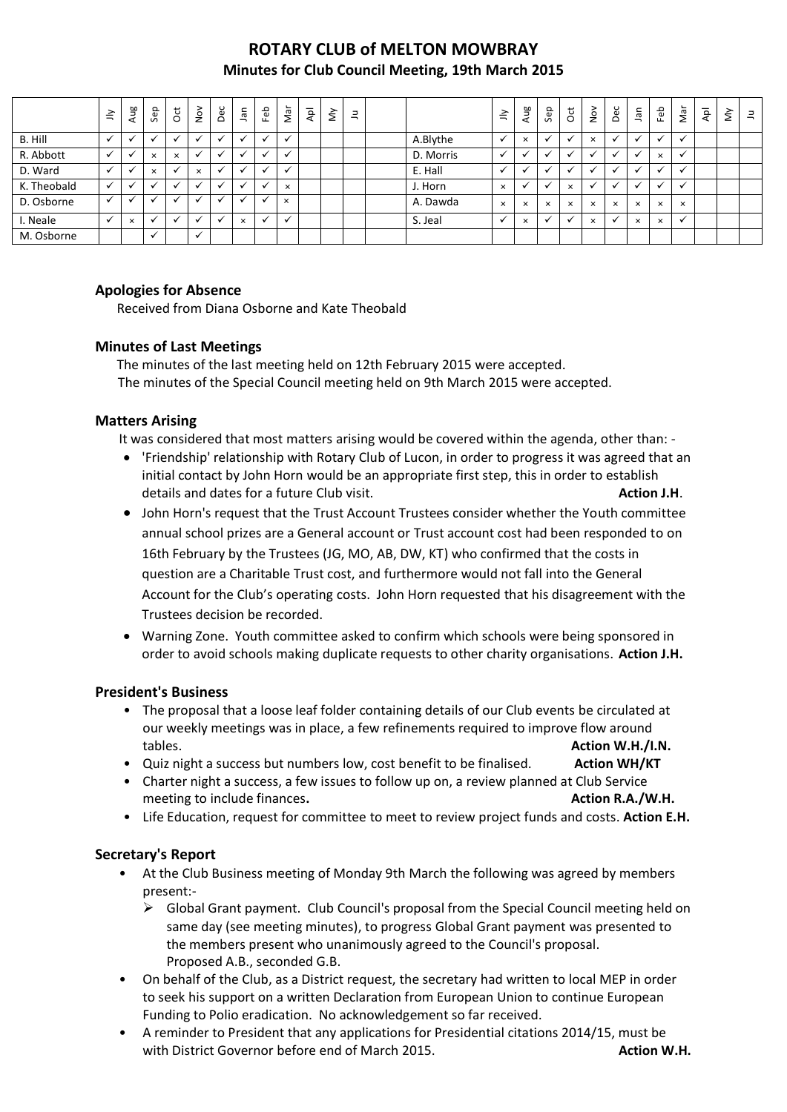# **ROTARY CLUB of MELTON MOWBRAY Minutes for Club Council Meeting, 19th March 2015**

|             | $\leq$       | Aug          | Sep                  | ğ            | $\frac{5}{2}$            | Dec | <b>Jan</b>               | Feb                      | ∽<br>ξÑ  | Apl | $\grave{\varepsilon}$ | $\Xi$ |           | $\tilde{=}$  | Ρã<br>ੱ     | Sep      | $\overline{\mathrm{c}}$ | $\geq$   | Dec                  | $\bar{a}$ | Feb                      | Nar          | $\overline{\mathsf{A}}$ | $\tilde{\Sigma}$ | $\exists$ |
|-------------|--------------|--------------|----------------------|--------------|--------------------------|-----|--------------------------|--------------------------|----------|-----|-----------------------|-------|-----------|--------------|-------------|----------|-------------------------|----------|----------------------|-----------|--------------------------|--------------|-------------------------|------------------|-----------|
| B. Hill     | $\checkmark$ | $\checkmark$ | <b>N</b>             | $\checkmark$ |                          | ✔   | $\overline{\phantom{a}}$ | $\overline{\phantom{a}}$ | v        |     |                       |       | A.Blythe  | $\checkmark$ | $\times$    | v        | $\ddot{\phantom{0}}$    | $\times$ | $\ddot{\phantom{0}}$ | ╰         | $\overline{\phantom{a}}$ | ◡            |                         |                  |           |
| R. Abbott   | $\checkmark$ | $\checkmark$ | $\times$             | $\times$     | $\overline{\phantom{a}}$ |     |                          | $\ddot{\phantom{0}}$     |          |     |                       |       | D. Morris |              |             |          |                         |          | $\ddot{\phantom{0}}$ |           | $\times$                 | $\check{ }$  |                         |                  |           |
| D. Ward     | $\checkmark$ | $\checkmark$ | $\times$             |              | $\times$                 |     |                          |                          |          |     |                       |       | E. Hall   |              |             |          |                         |          |                      |           |                          |              |                         |                  |           |
| K. Theobald | $\checkmark$ | $\checkmark$ | $\ddot{\phantom{0}}$ |              |                          |     |                          | $\ddot{\phantom{0}}$     | $\times$ |     |                       |       | J. Horn   | $\times$     | $\check{ }$ |          | $\mathbf x$             |          | $\ddot{\phantom{0}}$ |           | $\overline{\phantom{a}}$ | $\checkmark$ |                         |                  |           |
| D. Osborne  | ✓            |              |                      |              |                          |     |                          | $\bullet$                | $\times$ |     |                       |       | A. Dawda  | $\times$     | $\times$    | $\times$ | $\times$                | $\times$ | $\times$             | $\times$  | $\times$                 | $\times$     |                         |                  |           |
| I. Neale    | $\checkmark$ | $\times$     | $\ddot{\phantom{0}}$ |              |                          |     | $\times$                 | $\checkmark$             |          |     |                       |       | S. Jeal   |              | $\times$    |          |                         | $\times$ | $\checkmark$         | $\times$  | $\times$                 | $\checkmark$ |                         |                  |           |
| M. Osborne  |              |              | $\ddot{\phantom{0}}$ |              | $\overline{\phantom{a}}$ |     |                          |                          |          |     |                       |       |           |              |             |          |                         |          |                      |           |                          |              |                         |                  |           |

## **Apologies for Absence**

Received from Diana Osborne and Kate Theobald

## **Minutes of Last Meetings**

The minutes of the last meeting held on 12th February 2015 were accepted. The minutes of the Special Council meeting held on 9th March 2015 were accepted.

### **Matters Arising**

It was considered that most matters arising would be covered within the agenda, other than: -

- 'Friendship' relationship with Rotary Club of Lucon, in order to progress it was agreed that an initial contact by John Horn would be an appropriate first step, this in order to establish details and dates for a future Club visit. **Action J.H**.
- John Horn's request that the Trust Account Trustees consider whether the Youth committee annual school prizes are a General account or Trust account cost had been responded to on 16th February by the Trustees (JG, MO, AB, DW, KT) who confirmed that the costs in question are a Charitable Trust cost, and furthermore would not fall into the General Account for the Club's operating costs. John Horn requested that his disagreement with the Trustees decision be recorded.
- Warning Zone. Youth committee asked to confirm which schools were being sponsored in order to avoid schools making duplicate requests to other charity organisations. **Action J.H.**

### **President's Business**

- The proposal that a loose leaf folder containing details of our Club events be circulated at our weekly meetings was in place, a few refinements required to improve flow around tables. **Action W.H./I.N.**
- Quiz night a success but numbers low, cost benefit to be finalised. **Action WH/KT**
- Charter night a success, a few issues to follow up on, a review planned at Club Service meeting to include finances. **Action R.A./W.H. Action R.A./W.H. Action R.A./W.H.**
- Life Education, request for committee to meet to review project funds and costs. **Action E.H.**

# **Secretary's Report**

- At the Club Business meeting of Monday 9th March the following was agreed by members present:-
	- $\triangleright$  Global Grant payment. Club Council's proposal from the Special Council meeting held on same day (see meeting minutes), to progress Global Grant payment was presented to the members present who unanimously agreed to the Council's proposal. Proposed A.B., seconded G.B.
- On behalf of the Club, as a District request, the secretary had written to local MEP in order to seek his support on a written Declaration from European Union to continue European Funding to Polio eradication. No acknowledgement so far received.
- A reminder to President that any applications for Presidential citations 2014/15, must be with District Governor before end of March 2015. **Action W.H. Action W.H.**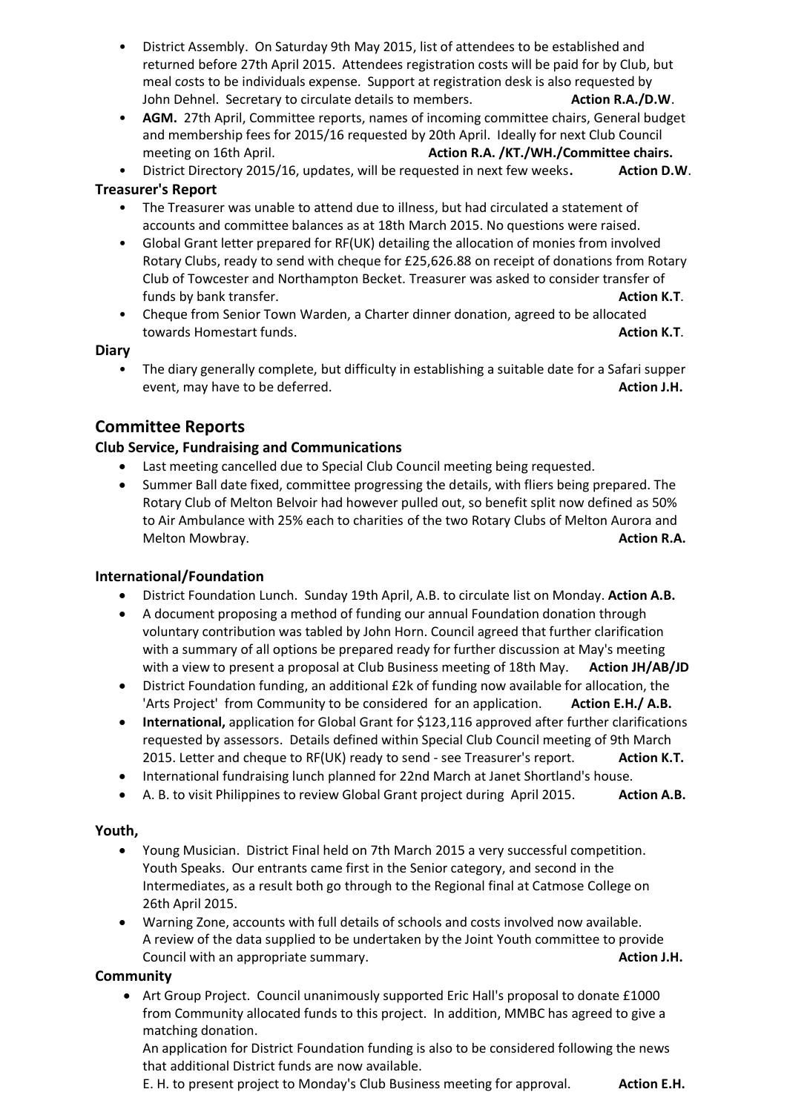- District Assembly. On Saturday 9th May 2015, list of attendees to be established and returned before 27th April 2015. Attendees registration costs will be paid for by Club, but meal c*o*sts to be individuals expense. Support at registration desk is also requested by John Dehnel. Secretary to circulate details to members. **Action R.A./D.W**.
- **AGM.** 27th April, Committee reports, names of incoming committee chairs, General budget and membership fees for 2015/16 requested by 20th April. Ideally for next Club Council meeting on 16th April. **Action R.A. /KT./WH./Committee chairs. Action R.A. /KT./WH./Committee chairs.**
- District Directory 2015/16, updates, will be requested in next few weeks**. Action D.W**.

## **Treasurer's Report**

- The Treasurer was unable to attend due to illness, but had circulated a statement of accounts and committee balances as at 18th March 2015. No questions were raised.
- Global Grant letter prepared for RF(UK) detailing the allocation of monies from involved Rotary Clubs, ready to send with cheque for £25,626.88 on receipt of donations from Rotary Club of Towcester and Northampton Becket. Treasurer was asked to consider transfer of funds by bank transfer. **Action K.T. Action K.T. Action K.T.**
- Cheque from Senior Town Warden, a Charter dinner donation, agreed to be allocated towards Homestart funds. **Action K.T**.

### **Diary**

• The diary generally complete, but difficulty in establishing a suitable date for a Safari supper event, may have to be deferred. **Action J.H. Action J.H. Action J.H.** 

# **Committee Reports**

## **Club Service, Fundraising and Communications**

- Last meeting cancelled due to Special Club Council meeting being requested.
- Summer Ball date fixed, committee progressing the details, with fliers being prepared. The Rotary Club of Melton Belvoir had however pulled out, so benefit split now defined as 50% to Air Ambulance with 25% each to charities of the two Rotary Clubs of Melton Aurora and Melton Mowbray. **Action R.A.**

### **International/Foundation**

- District Foundation Lunch. Sunday 19th April, A.B. to circulate list on Monday. **Action A.B.**
- A document proposing a method of funding our annual Foundation donation through voluntary contribution was tabled by John Horn. Council agreed that further clarification with a summary of all options be prepared ready for further discussion at May's meeting with a view to present a proposal at Club Business meeting of 18th May. **Action JH/AB/JD**
- District Foundation funding, an additional £2k of funding now available for allocation, the 'Arts Project' from Community to be considered for an application. Action E.H./ A.B.
- **International,** application for Global Grant for \$123,116 approved after further clarifications requested by assessors. Details defined within Special Club Council meeting of 9th March 2015. Letter and cheque to RF(UK) ready to send - see Treasurer's report. **Action K.T.**
- International fundraising lunch planned for 22nd March at Janet Shortland's house.
- A. B. to visit Philippines to review Global Grant project during April 2015. **Action A.B.**

### **Youth,**

- Young Musician. District Final held on 7th March 2015 a very successful competition. Youth Speaks. Our entrants came first in the Senior category, and second in the Intermediates, as a result both go through to the Regional final at Catmose College on 26th April 2015.
- Warning Zone, accounts with full details of schools and costs involved now available. A review of the data supplied to be undertaken by the Joint Youth committee to provide **Council with an appropriate summary. Action J.H. Action J.H.**

### **Community**

• Art Group Project. Council unanimously supported Eric Hall's proposal to donate £1000 from Community allocated funds to this project. In addition, MMBC has agreed to give a matching donation.

An application for District Foundation funding is also to be considered following the news that additional District funds are now available.

E. H. to present project to Monday's Club Business meeting for approval. **Action E.H.**